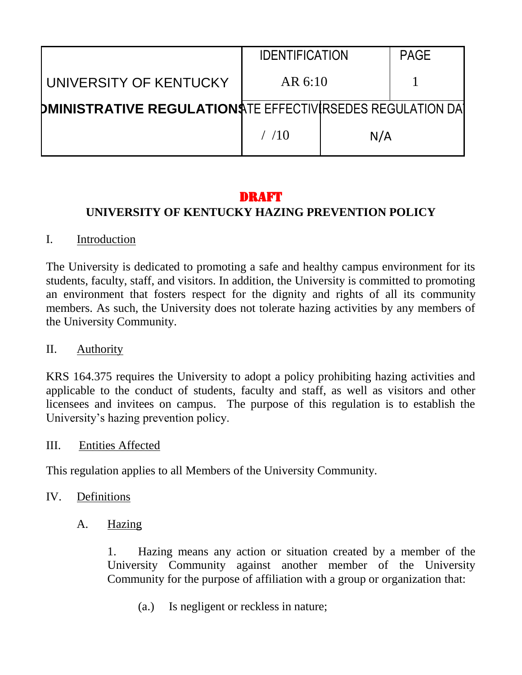|                                                                    | <b>IDENTIFICATION</b> |     | <b>PAGE</b> |
|--------------------------------------------------------------------|-----------------------|-----|-------------|
| UNIVERSITY OF KENTUCKY                                             | AR 6:10               |     |             |
| <b>DMINISTRATIVE REGULATION ATE EFFECTIVIRSEDES REGULATION DAI</b> |                       |     |             |
|                                                                    | $\frac{710}{ }$       | N/A |             |

### DRAFT

# **UNIVERSITY OF KENTUCKY HAZING PREVENTION POLICY**

### I. Introduction

The University is dedicated to promoting a safe and healthy campus environment for its students, faculty, staff, and visitors. In addition, the University is committed to promoting an environment that fosters respect for the dignity and rights of all its community members. As such, the University does not tolerate hazing activities by any members of the University Community.

### II. Authority

KRS 164.375 requires the University to adopt a policy prohibiting hazing activities and applicable to the conduct of students, faculty and staff, as well as visitors and other licensees and invitees on campus. The purpose of this regulation is to establish the University's hazing prevention policy.

III. Entities Affected

This regulation applies to all Members of the University Community.

- IV. Definitions
	- A. Hazing

1. Hazing means any action or situation created by a member of the University Community against another member of the University Community for the purpose of affiliation with a group or organization that:

(a.) Is negligent or reckless in nature;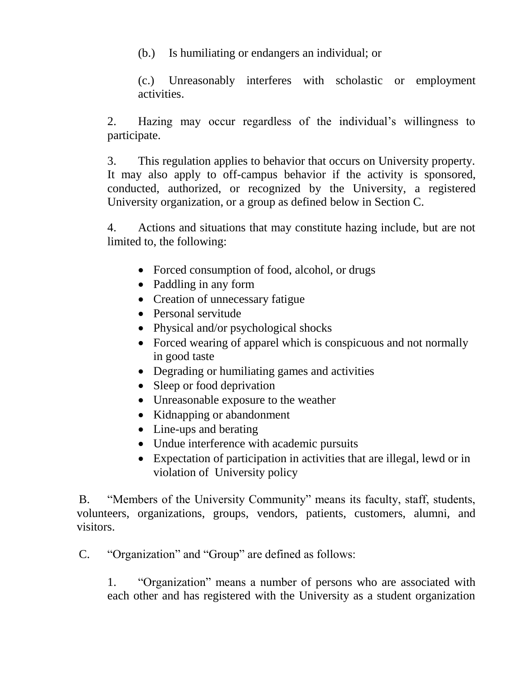(b.) Is humiliating or endangers an individual; or

(c.) Unreasonably interferes with scholastic or employment activities.

2. Hazing may occur regardless of the individual's willingness to participate.

3. This regulation applies to behavior that occurs on University property. It may also apply to off-campus behavior if the activity is sponsored, conducted, authorized, or recognized by the University, a registered University organization, or a group as defined below in Section C.

4. Actions and situations that may constitute hazing include, but are not limited to, the following:

- Forced consumption of food, alcohol, or drugs
- Paddling in any form
- Creation of unnecessary fatigue
- Personal servitude
- Physical and/or psychological shocks
- Forced wearing of apparel which is conspicuous and not normally in good taste
- Degrading or humiliating games and activities
- Sleep or food deprivation
- Unreasonable exposure to the weather
- Kidnapping or abandonment
- Line-ups and berating
- Undue interference with academic pursuits
- Expectation of participation in activities that are illegal, lewd or in violation of University policy

B. "Members of the University Community" means its faculty, staff, students, volunteers, organizations, groups, vendors, patients, customers, alumni, and visitors.

C. "Organization" and "Group" are defined as follows:

1. "Organization" means a number of persons who are associated with each other and has registered with the University as a student organization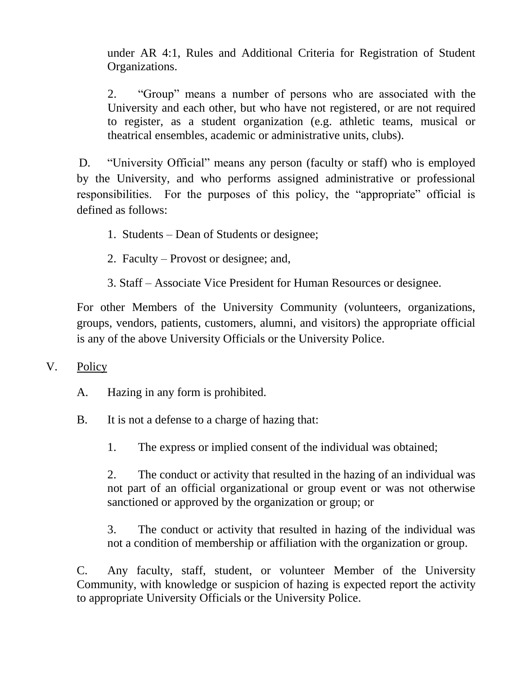under AR 4:1, Rules and Additional Criteria for Registration of Student Organizations.

2. "Group" means a number of persons who are associated with the University and each other, but who have not registered, or are not required to register, as a student organization (e.g. athletic teams, musical or theatrical ensembles, academic or administrative units, clubs).

D. "University Official" means any person (faculty or staff) who is employed by the University, and who performs assigned administrative or professional responsibilities. For the purposes of this policy, the "appropriate" official is defined as follows:

1. Students – Dean of Students or designee;

2. Faculty – Provost or designee; and,

3. Staff – Associate Vice President for Human Resources or designee.

For other Members of the University Community (volunteers, organizations, groups, vendors, patients, customers, alumni, and visitors) the appropriate official is any of the above University Officials or the University Police.

# V. Policy

A. Hazing in any form is prohibited.

B. It is not a defense to a charge of hazing that:

1. The express or implied consent of the individual was obtained;

2. The conduct or activity that resulted in the hazing of an individual was not part of an official organizational or group event or was not otherwise sanctioned or approved by the organization or group; or

3. The conduct or activity that resulted in hazing of the individual was not a condition of membership or affiliation with the organization or group.

C. Any faculty, staff, student, or volunteer Member of the University Community, with knowledge or suspicion of hazing is expected report the activity to appropriate University Officials or the University Police.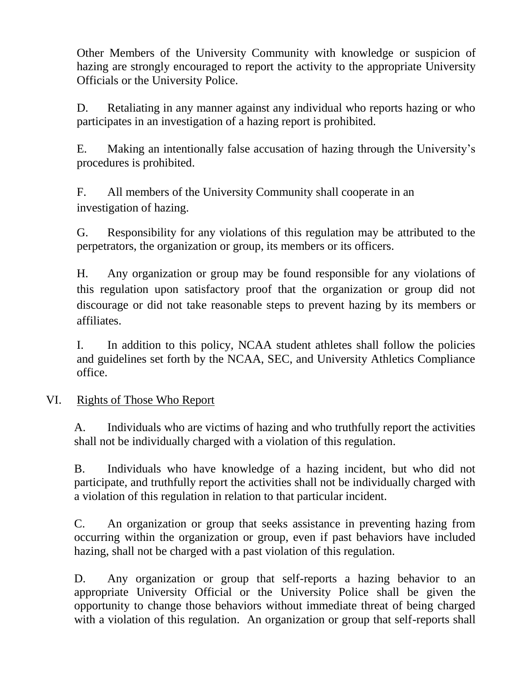Other Members of the University Community with knowledge or suspicion of hazing are strongly encouraged to report the activity to the appropriate University Officials or the University Police.

D. Retaliating in any manner against any individual who reports hazing or who participates in an investigation of a hazing report is prohibited.

E. Making an intentionally false accusation of hazing through the University's procedures is prohibited.

F. All members of the University Community shall cooperate in an investigation of hazing.

G. Responsibility for any violations of this regulation may be attributed to the perpetrators, the organization or group, its members or its officers.

H. Any organization or group may be found responsible for any violations of this regulation upon satisfactory proof that the organization or group did not discourage or did not take reasonable steps to prevent hazing by its members or affiliates.

I. In addition to this policy, NCAA student athletes shall follow the policies and guidelines set forth by the NCAA, SEC, and University Athletics Compliance office.

### VI. Rights of Those Who Report

A. Individuals who are victims of hazing and who truthfully report the activities shall not be individually charged with a violation of this regulation.

B. Individuals who have knowledge of a hazing incident, but who did not participate, and truthfully report the activities shall not be individually charged with a violation of this regulation in relation to that particular incident.

C. An organization or group that seeks assistance in preventing hazing from occurring within the organization or group, even if past behaviors have included hazing, shall not be charged with a past violation of this regulation.

D. Any organization or group that self-reports a hazing behavior to an appropriate University Official or the University Police shall be given the opportunity to change those behaviors without immediate threat of being charged with a violation of this regulation. An organization or group that self-reports shall